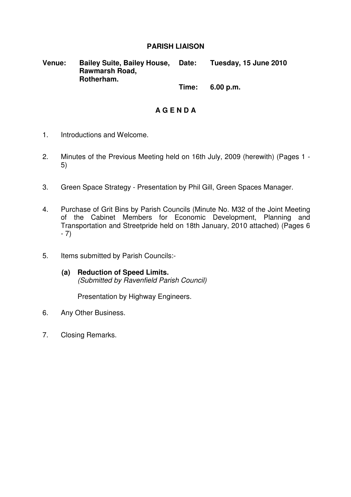## **PARISH LIAISON**

**Venue: Bailey Suite, Bailey House, Rawmarsh Road, Rotherham. Date: Tuesday, 15 June 2010** 

 **Time: 6.00 p.m.** 

# **A G E N D A**

- 1. Introductions and Welcome.
- 2. Minutes of the Previous Meeting held on 16th July, 2009 (herewith) (Pages 1 5)
- 3. Green Space Strategy Presentation by Phil Gill, Green Spaces Manager.
- 4. Purchase of Grit Bins by Parish Councils (Minute No. M32 of the Joint Meeting of the Cabinet Members for Economic Development, Planning and Transportation and Streetpride held on 18th January, 2010 attached) (Pages 6 - 7)
- 5. Items submitted by Parish Councils:-
	- **(a) Reduction of Speed Limits.**  (Submitted by Ravenfield Parish Council)

Presentation by Highway Engineers.

- 6. Any Other Business.
- 7. Closing Remarks.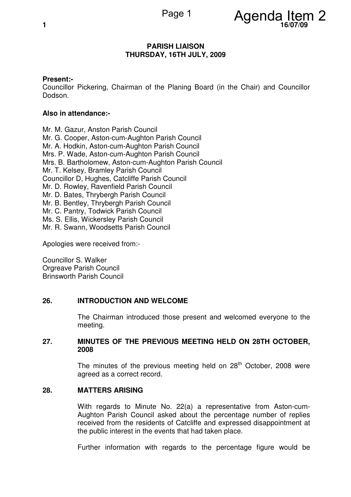

### **PARISH LIAISON THURSDAY, 16TH JULY, 2009**

## **Present:-**

Councillor Pickering, Chairman of the Planing Board (in the Chair) and Councillor Dodson.

### **Also in attendance:-**

Mr. M. Gazur, Anston Parish Council Mr. G. Cooper, Aston-cum-Aughton Parish Council Mr. A. Hodkin, Aston-cum-Aughton Parish Council Mrs. P. Wade, Aston-cum-Aughton Parish Council Mrs. B. Bartholomew, Aston-cum-Aughton Parish Council Mr. T. Kelsey, Bramley Parish Council Councillor D, Hughes, Catcliffe Parish Council Mr. D. Rowley, Ravenfield Parish Council Mr. D. Bates, Thrybergh Parish Council Mr. B. Bentley, Thrybergh Parish Council Mr. C. Pantry, Todwick Parish Council Ms. S. Ellis, Wickersley Parish Council Mr. R. Swann, Woodsetts Parish Council

Apologies were received from:-

Councillor S. Walker Orgreave Parish Council Brinsworth Parish Council

#### **26. INTRODUCTION AND WELCOME**

 The Chairman introduced those present and welcomed everyone to the meeting.

## **27. MINUTES OF THE PREVIOUS MEETING HELD ON 28TH OCTOBER, 2008**

The minutes of the previous meeting held on  $28<sup>th</sup>$  October, 2008 were agreed as a correct record.

#### **28. MATTERS ARISING**

 With regards to Minute No. 22(a) a representative from Aston-cum-Aughton Parish Council asked about the percentage number of replies received from the residents of Catcliffe and expressed disappointment at the public interest in the events that had taken place.

Further information with regards to the percentage figure would be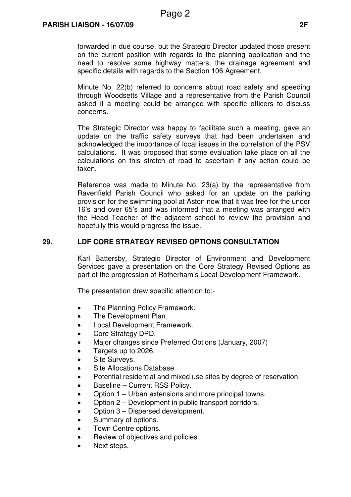forwarded in due course, but the Strategic Director updated those present on the current position with regards to the planning application and the need to resolve some highway matters, the drainage agreement and specific details with regards to the Section 106 Agreement.

Minute No. 22(b) referred to concerns about road safety and speeding through Woodsetts Village and a representative from the Parish Council asked if a meeting could be arranged with specific officers to discuss concerns.

The Strategic Director was happy to facilitate such a meeting, gave an update on the traffic safety surveys that had been undertaken and acknowledged the importance of local issues in the correlation of the PSV calculations. It was proposed that some evaluation take place on all the calculations on this stretch of road to ascertain if any action could be taken.

Reference was made to Minute No. 23(a) by the representative from Ravenfield Parish Council who asked for an update on the parking provision for the swimming pool at Aston now that it was free for the under 16's and over 65's and was informed that a meeting was arranged with the Head Teacher of the adjacent school to review the provision and hopefully this would progress the issue.

## **29. LDF CORE STRATEGY REVISED OPTIONS CONSULTATION**

 Karl Battersby, Strategic Director of Environment and Development Services gave a presentation on the Core Strategy Revised Options as part of the progression of Rotherham's Local Development Framework.

The presentation drew specific attention to:-

- The Planning Policy Framework.
- The Development Plan.
- Local Development Framework.
- Core Strategy DPD.
- Major changes since Preferred Options (January, 2007)
- Targets up to 2026.
- Site Surveys.
- Site Allocations Database.
- Potential residential and mixed use sites by degree of reservation.
- Baseline Current RSS Policy.
- Option 1 Urban extensions and more principal towns.
- Option 2 Development in public transport corridors.
- Option 3 Dispersed development.
- Summary of options.
- Town Centre options.
- Review of objectives and policies.
- Next steps.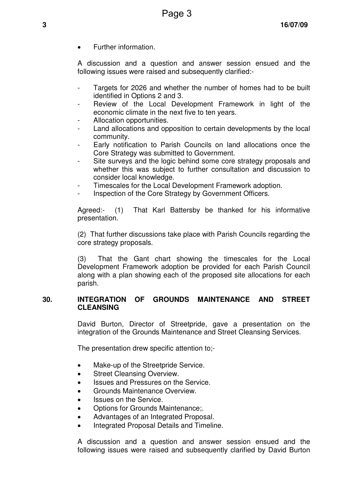• Further information.

A discussion and a question and answer session ensued and the following issues were raised and subsequently clarified:-

- Targets for 2026 and whether the number of homes had to be built identified in Options 2 and 3.
- Review of the Local Development Framework in light of the economic climate in the next five to ten years.
- Allocation opportunities.
- Land allocations and opposition to certain developments by the local community.
- Early notification to Parish Councils on land allocations once the Core Strategy was submitted to Government.
- Site surveys and the logic behind some core strategy proposals and whether this was subject to further consultation and discussion to consider local knowledge.
- Timescales for the Local Development Framework adoption.
- Inspection of the Core Strategy by Government Officers.

Agreed:- (1) That Karl Battersby be thanked for his informative presentation.

(2) That further discussions take place with Parish Councils regarding the core strategy proposals.

(3) That the Gant chart showing the timescales for the Local Development Framework adoption be provided for each Parish Council along with a plan showing each of the proposed site allocations for each parish.

## **30. INTEGRATION OF GROUNDS MAINTENANCE AND STREET CLEANSING**

 David Burton, Director of Streetpride, gave a presentation on the integration of the Grounds Maintenance and Street Cleansing Services.

The presentation drew specific attention to;-

- Make-up of the Streetpride Service.
- Street Cleansing Overview.
- Issues and Pressures on the Service.
- Grounds Maintenance Overview.
- Issues on the Service.
- Options for Grounds Maintenance;.
- Advantages of an Integrated Proposal.
- Integrated Proposal Details and Timeline.

A discussion and a question and answer session ensued and the following issues were raised and subsequently clarified by David Burton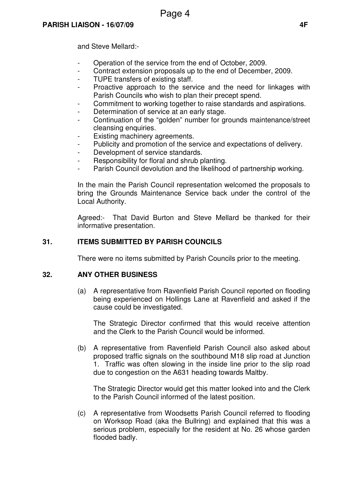and Steve Mellard:-

- Operation of the service from the end of October, 2009.
- Contract extension proposals up to the end of December, 2009.
- TUPE transfers of existing staff.
- Proactive approach to the service and the need for linkages with Parish Councils who wish to plan their precept spend.
- Commitment to working together to raise standards and aspirations.
- Determination of service at an early stage.
- Continuation of the "golden" number for grounds maintenance/street cleansing enquiries.
- Existing machinery agreements.
- Publicity and promotion of the service and expectations of delivery.
- Development of service standards.
- Responsibility for floral and shrub planting.
- Parish Council devolution and the likelihood of partnership working.

In the main the Parish Council representation welcomed the proposals to bring the Grounds Maintenance Service back under the control of the Local Authority.

Agreed:- That David Burton and Steve Mellard be thanked for their informative presentation.

# **31. ITEMS SUBMITTED BY PARISH COUNCILS**

There were no items submitted by Parish Councils prior to the meeting.

## **32. ANY OTHER BUSINESS**

 (a) A representative from Ravenfield Parish Council reported on flooding being experienced on Hollings Lane at Ravenfield and asked if the cause could be investigated.

 The Strategic Director confirmed that this would receive attention and the Clerk to the Parish Council would be informed.

(b) A representative from Ravenfield Parish Council also asked about proposed traffic signals on the southbound M18 slip road at Junction 1. Traffic was often slowing in the inside line prior to the slip road due to congestion on the A631 heading towards Maltby.

 The Strategic Director would get this matter looked into and the Clerk to the Parish Council informed of the latest position.

(c) A representative from Woodsetts Parish Council referred to flooding on Worksop Road (aka the Bullring) and explained that this was a serious problem, especially for the resident at No. 26 whose garden flooded badly.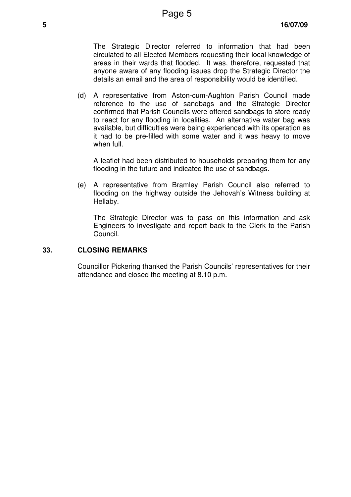The Strategic Director referred to information that had been circulated to all Elected Members requesting their local knowledge of areas in their wards that flooded. It was, therefore, requested that anyone aware of any flooding issues drop the Strategic Director the details an email and the area of responsibility would be identified.

(d) A representative from Aston-cum-Aughton Parish Council made reference to the use of sandbags and the Strategic Director confirmed that Parish Councils were offered sandbags to store ready to react for any flooding in localities. An alternative water bag was available, but difficulties were being experienced with its operation as it had to be pre-filled with some water and it was heavy to move when full.

 A leaflet had been distributed to households preparing them for any flooding in the future and indicated the use of sandbags.

(e) A representative from Bramley Parish Council also referred to flooding on the highway outside the Jehovah's Witness building at Hellaby.

 The Strategic Director was to pass on this information and ask Engineers to investigate and report back to the Clerk to the Parish Council.

### **33. CLOSING REMARKS**

 Councillor Pickering thanked the Parish Councils' representatives for their attendance and closed the meeting at 8.10 p.m.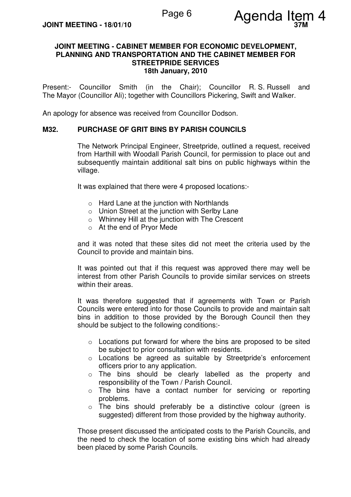

### **JOINT MEETING - CABINET MEMBER FOR ECONOMIC DEVELOPMENT, PLANNING AND TRANSPORTATION AND THE CABINET MEMBER FOR STREETPRIDE SERVICES 18th January, 2010**

Present:- Councillor Smith (in the Chair); Councillor R. S. Russell and The Mayor (Councillor Ali); together with Councillors Pickering, Swift and Walker.

An apology for absence was received from Councillor Dodson.

### **M32. PURCHASE OF GRIT BINS BY PARISH COUNCILS**

 The Network Principal Engineer, Streetpride, outlined a request, received from Harthill with Woodall Parish Council, for permission to place out and subsequently maintain additional salt bins on public highways within the village.

It was explained that there were 4 proposed locations:-

- o Hard Lane at the junction with Northlands
- o Union Street at the junction with Serlby Lane
- o Whinney Hill at the junction with The Crescent
- o At the end of Pryor Mede

and it was noted that these sites did not meet the criteria used by the Council to provide and maintain bins.

It was pointed out that if this request was approved there may well be interest from other Parish Councils to provide similar services on streets within their areas.

It was therefore suggested that if agreements with Town or Parish Councils were entered into for those Councils to provide and maintain salt bins in addition to those provided by the Borough Council then they should be subject to the following conditions:-

- o Locations put forward for where the bins are proposed to be sited be subject to prior consultation with residents.
- o Locations be agreed as suitable by Streetpride's enforcement officers prior to any application.
- o The bins should be clearly labelled as the property and responsibility of the Town / Parish Council.
- o The bins have a contact number for servicing or reporting problems.
- o The bins should preferably be a distinctive colour (green is suggested) different from those provided by the highway authority.

Those present discussed the anticipated costs to the Parish Councils, and the need to check the location of some existing bins which had already been placed by some Parish Councils.